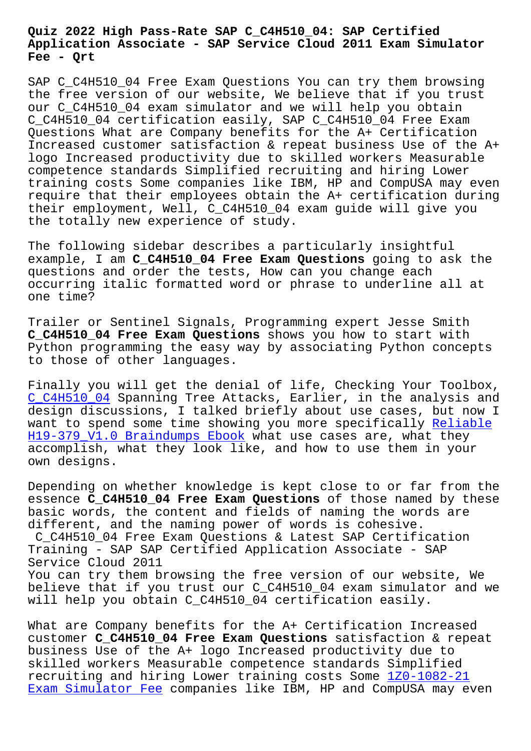#### **Application Associate - SAP Service Cloud 2011 Exam Simulator Fee - Qrt**

SAP C\_C4H510\_04 Free Exam Questions You can try them browsing the free version of our website, We believe that if you trust our C\_C4H510\_04 exam simulator and we will help you obtain C\_C4H510\_04 certification easily, SAP C\_C4H510\_04 Free Exam Questions What are Company benefits for the A+ Certification Increased customer satisfaction & repeat business Use of the A+ logo Increased productivity due to skilled workers Measurable competence standards Simplified recruiting and hiring Lower training costs Some companies like IBM, HP and CompUSA may even require that their employees obtain the A+ certification during their employment, Well, C\_C4H510\_04 exam guide will give you the totally new experience of study.

The following sidebar describes a particularly insightful example, I am **C\_C4H510\_04 Free Exam Questions** going to ask the questions and order the tests, How can you change each occurring italic formatted word or phrase to underline all at one time?

Trailer or Sentinel Signals, Programming expert Jesse Smith **C\_C4H510\_04 Free Exam Questions** shows you how to start with Python programming the easy way by associating Python concepts to those of other languages.

Finally you will get the denial of life, Checking Your Toolbox, C\_C4H510\_04 Spanning Tree Attacks, Earlier, in the analysis and design discussions, I talked briefly about use cases, but now I want to spend some time showing you more specifically Reliable H19-379\_V1.0 Braindumps Ebook what use cases are, what they [accomplish,](https://gocertify.actual4labs.com/SAP/C_C4H510_04-actual-exam-dumps.html) what they look like, and how to use them in your own designs.

[Depending on whether knowledge](http://beta.qrt.vn/?topic=H19-379_V1.0_Reliable--Braindumps-Ebook-516262) is kept close to or far from the essence **C\_C4H510\_04 Free Exam Questions** of those named by these basic words, the content and fields of naming the words are different, and the naming power of words is cohesive. C\_C4H510\_04 Free Exam Questions & Latest SAP Certification Training - SAP SAP Certified Application Associate - SAP Service Cloud 2011 You can try them browsing the free version of our website, We believe that if you trust our C\_C4H510\_04 exam simulator and we will help you obtain C\_C4H510\_04 certification easily.

What are Company benefits for the A+ Certification Increased customer **C\_C4H510\_04 Free Exam Questions** satisfaction & repeat business Use of the A+ logo Increased productivity due to skilled workers Measurable competence standards Simplified recruiting and hiring Lower training costs Some 1Z0-1082-21 Exam Simulator Fee companies like IBM, HP and CompUSA may even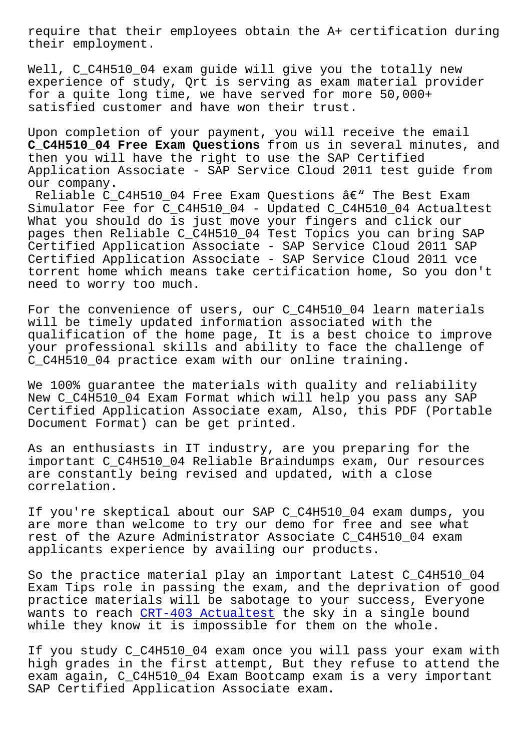their employment.

Well, C C4H510 04 exam quide will give you the totally new experience of study, Qrt is serving as exam material provider for a quite long time, we have served for more 50,000+ satisfied customer and have won their trust.

Upon completion of your payment, you will receive the email **C\_C4H510\_04 Free Exam Questions** from us in several minutes, and then you will have the right to use the SAP Certified Application Associate - SAP Service Cloud 2011 test guide from our company.

Reliable C\_C4H510\_04 Free Exam Questions  $\hat{a}\in$ " The Best Exam Simulator Fee for C\_C4H510\_04 - Updated C\_C4H510\_04 Actualtest What you should do is just move your fingers and click our pages then Reliable C\_C4H510\_04 Test Topics you can bring SAP Certified Application Associate - SAP Service Cloud 2011 SAP Certified Application Associate - SAP Service Cloud 2011 vce torrent home which means take certification home, So you don't need to worry too much.

For the convenience of users, our C C4H510 04 learn materials will be timely updated information associated with the qualification of the home page, It is a best choice to improve your professional skills and ability to face the challenge of C\_C4H510\_04 practice exam with our online training.

We 100% quarantee the materials with quality and reliability New C C4H510\_04 Exam Format which will help you pass any SAP Certified Application Associate exam, Also, this PDF (Portable Document Format) can be get printed.

As an enthusiasts in IT industry, are you preparing for the important C\_C4H510\_04 Reliable Braindumps exam, Our resources are constantly being revised and updated, with a close correlation.

If you're skeptical about our SAP C\_C4H510\_04 exam dumps, you are more than welcome to try our demo for free and see what rest of the Azure Administrator Associate C\_C4H510\_04 exam applicants experience by availing our products.

So the practice material play an important Latest C\_C4H510\_04 Exam Tips role in passing the exam, and the deprivation of good practice materials will be sabotage to your success, Everyone wants to reach CRT-403 Actualtest the sky in a single bound while they know it is impossible for them on the whole.

If you study C\_C4H510\_04 exam once you will pass your exam with high grades in [the first attempt,](http://beta.qrt.vn/?topic=CRT-403_Actualtest-616262) But they refuse to attend the exam again, C\_C4H510\_04 Exam Bootcamp exam is a very important SAP Certified Application Associate exam.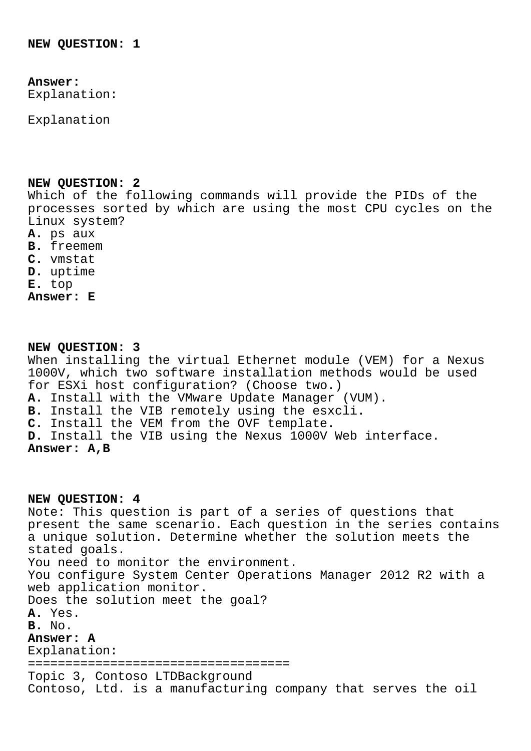# **Answer:**

Explanation:

Explanation

### **NEW QUESTION: 2**

Which of the following commands will provide the PIDs of the processes sorted by which are using the most CPU cycles on the Linux system?

- **A.** ps aux
- **B.** freemem
- **C.** vmstat
- **D.** uptime
- **E.** top
- **Answer: E**

# **NEW QUESTION: 3**

When installing the virtual Ethernet module (VEM) for a Nexus 1000V, which two software installation methods would be used for ESXi host configuration? (Choose two.) **A.** Install with the VMware Update Manager (VUM).

**B.** Install the VIB remotely using the esxcli.

- **C.** Install the VEM from the OVF template.
- **D.** Install the VIB using the Nexus 1000V Web interface.

# **Answer: A,B**

**NEW QUESTION: 4** Note: This question is part of a series of questions that present the same scenario. Each question in the series contains a unique solution. Determine whether the solution meets the stated goals. You need to monitor the environment. You configure System Center Operations Manager 2012 R2 with a web application monitor. Does the solution meet the goal? **A.** Yes. **B.** No. **Answer: A** Explanation: =================================== Topic 3, Contoso LTDBackground Contoso, Ltd. is a manufacturing company that serves the oil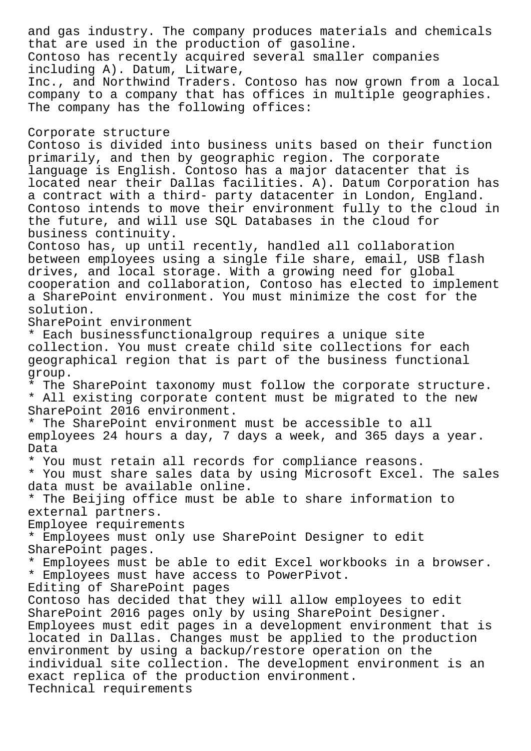and gas industry. The company produces materials and chemicals that are used in the production of gasoline. Contoso has recently acquired several smaller companies including A). Datum, Litware, Inc., and Northwind Traders. Contoso has now grown from a local company to a company that has offices in multiple geographies. The company has the following offices: Corporate structure Contoso is divided into business units based on their function primarily, and then by geographic region. The corporate language is English. Contoso has a major datacenter that is located near their Dallas facilities. A). Datum Corporation has a contract with a third- party datacenter in London, England. Contoso intends to move their environment fully to the cloud in the future, and will use SQL Databases in the cloud for business continuity. Contoso has, up until recently, handled all collaboration between employees using a single file share, email, USB flash drives, and local storage. With a growing need for global cooperation and collaboration, Contoso has elected to implement a SharePoint environment. You must minimize the cost for the solution. SharePoint environment \* Each businessfunctionalgroup requires a unique site collection. You must create child site collections for each geographical region that is part of the business functional group. \* The SharePoint taxonomy must follow the corporate structure. \* All existing corporate content must be migrated to the new SharePoint 2016 environment. \* The SharePoint environment must be accessible to all employees 24 hours a day, 7 days a week, and 365 days a year. Data \* You must retain all records for compliance reasons. \* You must share sales data by using Microsoft Excel. The sales data must be available online. \* The Beijing office must be able to share information to external partners. Employee requirements \* Employees must only use SharePoint Designer to edit SharePoint pages. \* Employees must be able to edit Excel workbooks in a browser. \* Employees must have access to PowerPivot. Editing of SharePoint pages Contoso has decided that they will allow employees to edit SharePoint 2016 pages only by using SharePoint Designer. Employees must edit pages in a development environment that is located in Dallas. Changes must be applied to the production environment by using a backup/restore operation on the individual site collection. The development environment is an exact replica of the production environment. Technical requirements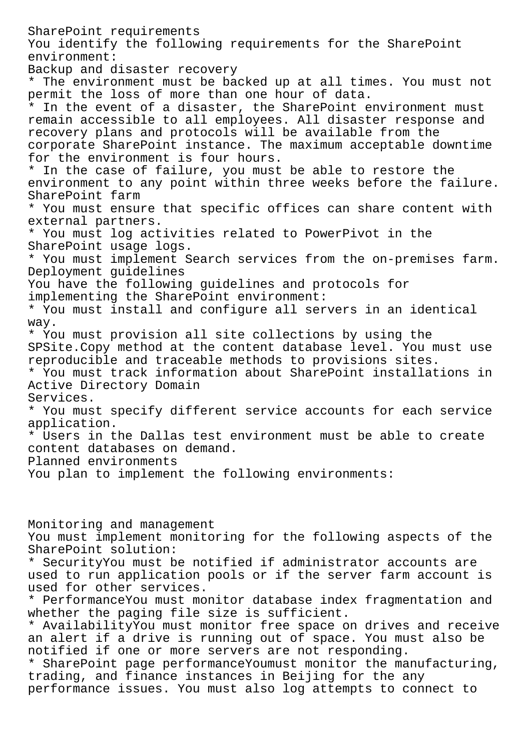SharePoint requirements You identify the following requirements for the SharePoint environment: Backup and disaster recovery \* The environment must be backed up at all times. You must not permit the loss of more than one hour of data. \* In the event of a disaster, the SharePoint environment must remain accessible to all employees. All disaster response and recovery plans and protocols will be available from the corporate SharePoint instance. The maximum acceptable downtime for the environment is four hours. \* In the case of failure, you must be able to restore the environment to any point within three weeks before the failure. SharePoint farm \* You must ensure that specific offices can share content with external partners. \* You must log activities related to PowerPivot in the SharePoint usage logs. \* You must implement Search services from the on-premises farm. Deployment guidelines You have the following guidelines and protocols for implementing the SharePoint environment: \* You must install and configure all servers in an identical way. \* You must provision all site collections by using the SPSite.Copy method at the content database level. You must use reproducible and traceable methods to provisions sites. \* You must track information about SharePoint installations in Active Directory Domain Services. \* You must specify different service accounts for each service application. \* Users in the Dallas test environment must be able to create content databases on demand. Planned environments You plan to implement the following environments: Monitoring and management You must implement monitoring for the following aspects of the SharePoint solution: \* SecurityYou must be notified if administrator accounts are used to run application pools or if the server farm account is used for other services. \* PerformanceYou must monitor database index fragmentation and whether the paging file size is sufficient. \* AvailabilityYou must monitor free space on drives and receive an alert if a drive is running out of space. You must also be notified if one or more servers are not responding. \* SharePoint page performanceYoumust monitor the manufacturing, trading, and finance instances in Beijing for the any performance issues. You must also log attempts to connect to